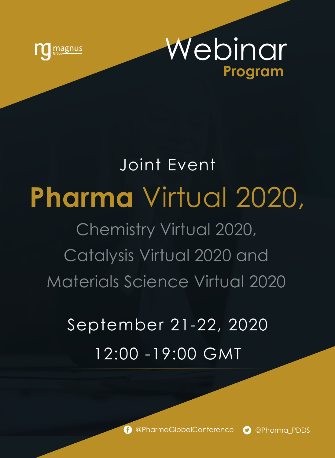



# **Pharma** Virtual 2020, Chemistry Virtual 2020, Catalysis Virtual 2020 and Materials Science Virtual 2020 Joint Event

## September 21-22, 2020 12:00 -19:00 GMT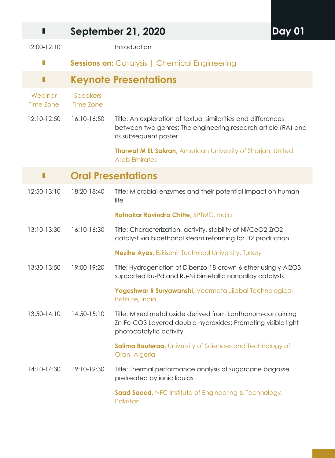| ш                           |                           | <b>September 21, 2020</b>                                                                                                                               |  |
|-----------------------------|---------------------------|---------------------------------------------------------------------------------------------------------------------------------------------------------|--|
| 12:00-12:10                 |                           | Introduction                                                                                                                                            |  |
| П                           |                           | <b>Sessions on: Catalysis   Chemical Engineering</b>                                                                                                    |  |
| Ш                           |                           | Keynote Presentations                                                                                                                                   |  |
| Webinar<br><b>Time Zone</b> | Speakers<br>Time Zone     |                                                                                                                                                         |  |
| 12:10-12:50                 | 16:10-16:50               | Title: An exploration of textual similarities and differences<br>between two genres: The engineering research article (RA) and<br>its subsequent poster |  |
|                             |                           | <b>Tharwat M EL Sakran, American University of Sharjah, United</b><br><b>Arab Emirates</b>                                                              |  |
| П                           | <b>Oral Presentations</b> |                                                                                                                                                         |  |
| 12:50-13:10                 | 18:20-18:40               | Title: Microbial enzymes and their potential impact on human<br>life                                                                                    |  |
|                             |                           | Ratnakar Ravindra Chitte, SPTMC, India                                                                                                                  |  |
| 13:10-13:30                 | 16:10-16:30               | Title: Characterization, activity, stability of Ni/CeO2-ZrO2<br>catalyst via bioethanol steam reforming for H2 production                               |  |
|                             |                           | <b>Nezihe Ayas, Eskisehir Technical University, Turkey</b>                                                                                              |  |
| 13:30-13:50                 | 19:00-19:20               | Title: Hydrogenation of Dibenzo-18-crown-6 ether using y-Al2O3<br>supported Ru-Pd and Ru-Ni bimetallic nanoalloy catalysts                              |  |
|                             |                           | Yogeshwar R Suryawanshi, Veermata Jijabai Technological<br>Institute, India                                                                             |  |
| 13:50-14:10                 | 14:50-15:10               | Title: Mixed metal oxide derived from Lanthanum-containing<br>Zn-Fe-CO3 Layered double hydroxides: Promoting visible light<br>photocatalytic activity   |  |
|                             |                           | Salima Bouteraa, University of Sciences and Technology of<br>Oran, Algeria                                                                              |  |
| 14:10-14:30                 | 19:10-19:30               | Title: Thermal performance analysis of sugarcane bagasse<br>pretreated by ionic liquids                                                                 |  |
|                             |                           | Saad Saeed, NFC Institute of Engineering & Technology,<br>Pakistan                                                                                      |  |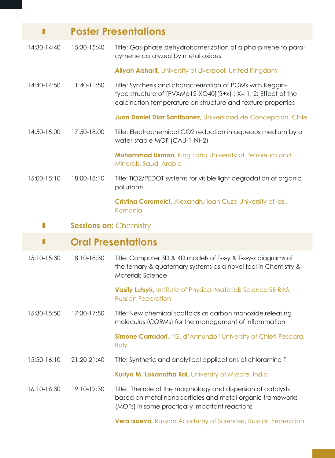| П           |                               | <b>Poster Presentations</b>                                                                                                                                                                 |
|-------------|-------------------------------|---------------------------------------------------------------------------------------------------------------------------------------------------------------------------------------------|
| 14:30-14:40 | 15:30-15:40                   | Title: Gas-phase dehydroisomerization of alpha-pinene to para-<br>cymene catalyzed by metal oxides                                                                                          |
|             |                               | Aliyah Alsharif, University of Liverpool, United Kingdom                                                                                                                                    |
| 14:40-14:50 | 11:40-11:50                   | Title: Synthesis and characterization of POMs with Keggin-<br>type structure of [PVXMo12-XO40](3+x)-; X= 1, 2: Effect of the<br>calcination temperature on structure and texture properties |
|             |                               | Juan Daniel Diaz Santibanez, Universidad de Concepcion, Chile                                                                                                                               |
| 14:50-15:00 | 17:50-18:00                   | Title: Electrochemical CO2 reduction in aqueous medium by a<br>water-stable MOF (CAU-1-NH2)                                                                                                 |
|             |                               | <b>Muhammad Usman, King Fahd University of Petroleum and</b><br>Minerals, Saudi Arabia                                                                                                      |
| 15:00-15:10 | 18:00-18:10                   | Title: TiO2/PEDOT systems for visible light degradation of organic<br>pollutants                                                                                                            |
|             |                               | Cristina Coromelci, Alexandru Ioan Cuza University of Iasi,<br>Romania                                                                                                                      |
|             |                               |                                                                                                                                                                                             |
| П           | <b>Sessions on: Chemistry</b> |                                                                                                                                                                                             |
| П           |                               | <b>Oral Presentations</b>                                                                                                                                                                   |
| 15:10-15:30 | 18:10-18:30                   | Title: Computer 3D & 4D models of T-x-y & T-x-y-z diagrams of<br>the ternary & quaternary systems as a novel tool in Chemistry &<br>Materials Science                                       |
|             |                               | Vasily Lutsyk, Institute of Physical Materials Science SB RAS,<br><b>Russian Federation</b>                                                                                                 |
| 15:30-15:50 | 17:30-17:50                   | Title: New chemical scaffolds as carbon monoxide releasing<br>molecules (CORMs) for the management of inflammation                                                                          |
|             |                               | Simone Carradori, "G. d'Annunzio" University of Chieti-Pescara,<br><b>Italy</b>                                                                                                             |
| 15:50-16:10 | 21:20-21:40                   | Title: Synthetic and analytical applications of chloramine-T                                                                                                                                |
|             |                               | Kuriya M. Lokanatha Rai, University of Mysore, India                                                                                                                                        |

**Vera Isaeva,** Russian Academy of Sciences, Russian Federation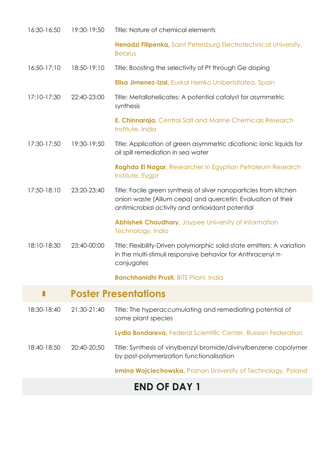| 16:30-16:50 | 19:30-19:50 | Title: Nature of chemical elements                                                                                                                                                     |
|-------------|-------------|----------------------------------------------------------------------------------------------------------------------------------------------------------------------------------------|
|             |             | Henadzi Filipenka, Saint Petersburg Electrotechnical University,<br><b>Belarus</b>                                                                                                     |
| 16:50-17:10 | 18:50-19:10 | Title: Boosting the selectivity of Pt through Ge doping                                                                                                                                |
|             |             | Elisa Jimenez-Izal, Euskal Herriko Unibertsitatea, Spain                                                                                                                               |
| 17:10-17:30 | 22:40-23:00 | Title: Metallohelicates: A potential catalyst for asymmetric<br>synthesis                                                                                                              |
|             |             | <b>E. Chinnaraja</b> , Central Salt and Marine Chemicals Research<br>Institute, India                                                                                                  |
| 17:30-17:50 | 19:30-19:50 | Title: Application of green asymmetric dicationic ionic liquids for<br>oil spill remediation in sea water                                                                              |
|             |             | Raghda El Nagar, Researcher in Egyptian Petroleum Research<br>Institute, Eygpt                                                                                                         |
| 17:50-18:10 | 23:20-23:40 | Title: Facile green synthesis of silver nanoparticles from kitchen<br>onion waste (Allium cepa) and quercetin: Evaluation of their<br>antimicrobial activity and antioxidant potential |
|             |             | Abhishek Chaudhary, Jaypee University of Information<br>Technology, India                                                                                                              |
| 18:10-18:30 | 23:40-00:00 | Title: Flexibility-Driven polymorphic solid-state emitters: A variation<br>in the multi-stimuli responsive behavior for Anthracenyl $\pi$ -<br>conjugates                              |
|             |             | <b>Banchhanidhi Prusti</b> , BITS Pilani, India                                                                                                                                        |
| П           |             | <b>Poster Presentations</b>                                                                                                                                                            |
| 18:30-18:40 | 21:30-21:40 | Title: The hyperaccumulating and remediating potential of<br>some plant species                                                                                                        |
|             |             | Lydia Bondareva, Federal Scientific Center, Russian Federation                                                                                                                         |
| 18:40-18:50 | 20:40-20:50 | Title: Synthesis of vinylbenzyl bromide/divinylbenzene copolymer<br>by post-polymerization functionalisation                                                                           |

**Irmina Wojciechowska,** Poznan University of Technology, Poland

## **END OF DAY 1**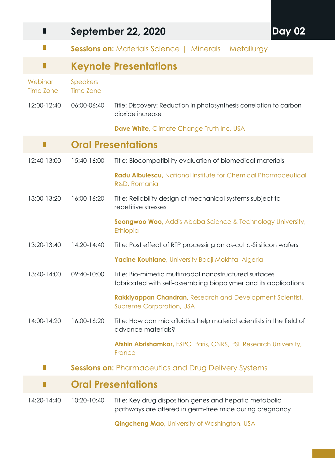| П                    | <b>September 22, 2020</b><br><b>Day 02</b> |                                                                                                                          |  |
|----------------------|--------------------------------------------|--------------------------------------------------------------------------------------------------------------------------|--|
| П                    |                                            | <b>Sessions on:</b> Materials Science   Minerals   Metallurgy                                                            |  |
| П                    |                                            | <b>Keynote Presentations</b>                                                                                             |  |
| Webinar<br>Time Zone | <b>Speakers</b><br><b>Time Zone</b>        |                                                                                                                          |  |
| 12:00-12:40          | 06:00-06:40                                | Title: Discovery: Reduction in photosynthesis correlation to carbon<br>dioxide increase                                  |  |
|                      |                                            | Dave White, Climate Change Truth Inc, USA                                                                                |  |
| Н                    |                                            | <b>Oral Presentations</b>                                                                                                |  |
| 12:40-13:00          | 15:40-16:00                                | Title: Biocompatibility evaluation of biomedical materials                                                               |  |
|                      |                                            | Radu Albulescu, National Institute for Chemical Pharmaceutical<br>R&D, Romania                                           |  |
| 13:00-13:20          | 16:00-16:20                                | Title: Reliability design of mechanical systems subject to<br>repetitive stresses                                        |  |
|                      |                                            | <b>Seongwoo Woo, Addis Ababa Science &amp; Technology University,</b><br>Ethiopia                                        |  |
| 13:20-13:40          | 14:20-14:40                                | Title: Post effect of RTP processing on as-cut c-Si silicon wafers                                                       |  |
|                      |                                            | Yacine Kouhlane, University Badji Mokhta, Algeria                                                                        |  |
| 13:40-14:00          | 09:40-10:00                                | Title: Bio-mimetic multimodal nanostructured surfaces<br>fabricated with self-assembling biopolymer and its applications |  |
|                      |                                            | Rakkiyappan Chandran, Research and Development Scientist,<br><b>Supreme Corporation, USA</b>                             |  |
| 14:00-14:20          | 16:00-16:20                                | Title: How can microfluidics help material scientists in the field of<br>advance materials?                              |  |
|                      |                                            | Afshin Abrishamkar, ESPCI Paris, CNRS, PSL Research University,<br>France                                                |  |
|                      |                                            | <b>Sessions on: Pharmaceutics and Drug Delivery Systems</b>                                                              |  |
|                      |                                            | <b>Oral Presentations</b>                                                                                                |  |
| 14:20-14:40          | 10:20-10:40                                | Title: Key drug disposition genes and hepatic metabolic<br>pathways are altered in germ-free mice during pregnancy       |  |
|                      |                                            | <b>Qingcheng Mao, University of Washington, USA</b>                                                                      |  |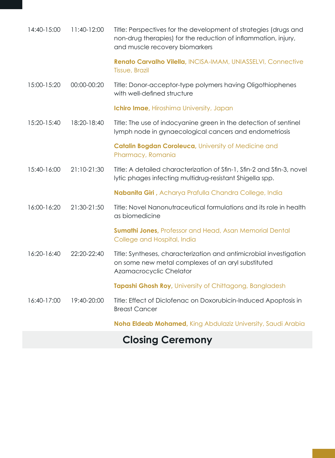| 14:40-15:00 | 11:40-12:00 | Title: Perspectives for the development of strategies (drugs and<br>non-drug therapies) for the reduction of inflammation, injury,<br>and muscle recovery biomarkers |
|-------------|-------------|----------------------------------------------------------------------------------------------------------------------------------------------------------------------|
|             |             | Renato Carvalho Vilella, INCISA-IMAM, UNIASSELVI, Connective<br>Tissue, Brazil                                                                                       |
| 15:00-15:20 | 00:00-00:20 | Title: Donor-acceptor-type polymers having Oligothiophenes<br>with well-defined structure                                                                            |
|             |             | Ichiro Imae, Hiroshima University, Japan                                                                                                                             |
| 15:20-15:40 | 18:20-18:40 | Title: The use of indocyanine green in the detection of sentinel<br>lymph node in gynaecological cancers and endometriosis                                           |
|             |             | Catalin Bogdan Coroleuca, University of Medicine and<br>Pharmacy, Romania                                                                                            |
| 15:40-16:00 | 21:10-21:30 | Title: A detailed characterization of Sfin-1, Sfin-2 and Sfin-3, novel<br>lytic phages infecting multidrug-resistant Shigella spp.                                   |
|             |             | Nabanita Giri, Acharya Prafulla Chandra College, India                                                                                                               |
| 16:00-16:20 | 21:30-21:50 | Title: Novel Nanonutraceutical formulations and its role in health<br>as biomedicine                                                                                 |
|             |             | <b>Sumathi Jones, Professor and Head, Asan Memorial Dental</b><br>College and Hospital, India                                                                        |
| 16:20-16:40 | 22:20-22:40 | Title: Syntheses, characterization and antimicrobial investigation<br>on some new metal complexes of an aryl substituted<br>Azamacrocyclic Chelator                  |
|             |             | Tapashi Ghosh Roy, University of Chittagong, Bangladesh                                                                                                              |
| 16:40-17:00 | 19:40-20:00 | Title: Effect of Diclofenac on Doxorubicin-Induced Apoptosis in<br><b>Breast Cancer</b>                                                                              |
|             |             | Noha Eldeab Mohamed, King Abdulaziz University, Saudi Arabia                                                                                                         |

## **Closing Ceremony**